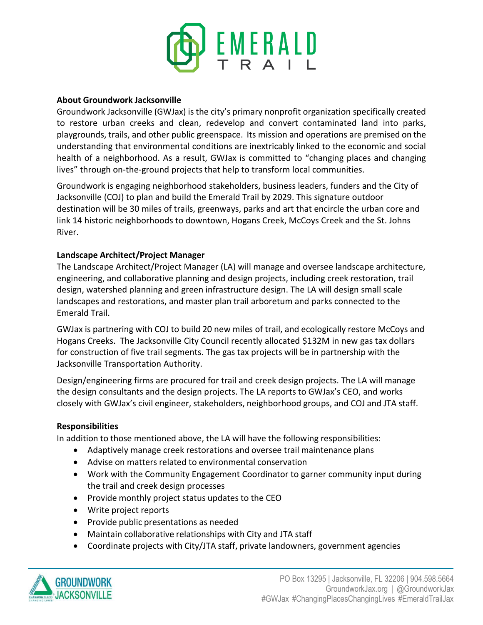

# **About Groundwork Jacksonville**

Groundwork Jacksonville (GWJax) is the city's primary nonprofit organization specifically created to restore urban creeks and clean, redevelop and convert contaminated land into parks, playgrounds, trails, and other public greenspace. Its mission and operations are premised on the understanding that environmental conditions are inextricably linked to the economic and social health of a neighborhood. As a result, GWJax is committed to "changing places and changing lives" through on-the-ground projects that help to transform local communities.

Groundwork is engaging neighborhood stakeholders, business leaders, funders and the City of Jacksonville (COJ) to plan and build the Emerald Trail by 2029. This signature outdoor destination will be 30 miles of trails, greenways, parks and art that encircle the urban core and link 14 historic neighborhoods to downtown, Hogans Creek, McCoys Creek and the St. Johns River.

# **Landscape Architect/Project Manager**

The Landscape Architect/Project Manager (LA) will manage and oversee landscape architecture, engineering, and collaborative planning and design projects, including creek restoration, trail design, watershed planning and green infrastructure design. The LA will design small scale landscapes and restorations, and master plan trail arboretum and parks connected to the Emerald Trail.

GWJax is partnering with COJ to build 20 new miles of trail, and ecologically restore McCoys and Hogans Creeks. The Jacksonville City Council recently allocated \$132M in new gas tax dollars for construction of five trail segments. The gas tax projects will be in partnership with the Jacksonville Transportation Authority.

Design/engineering firms are procured for trail and creek design projects. The LA will manage the design consultants and the design projects. The LA reports to GWJax's CEO, and works closely with GWJax's civil engineer, stakeholders, neighborhood groups, and COJ and JTA staff.

## **Responsibilities**

In addition to those mentioned above, the LA will have the following responsibilities:

- Adaptively manage creek restorations and oversee trail maintenance plans
- Advise on matters related to environmental conservation
- Work with the Community Engagement Coordinator to garner community input during the trail and creek design processes
- Provide monthly project status updates to the CEO
- Write project reports
- Provide public presentations as needed
- Maintain collaborative relationships with City and JTA staff
- Coordinate projects with City/JTA staff, private landowners, government agencies